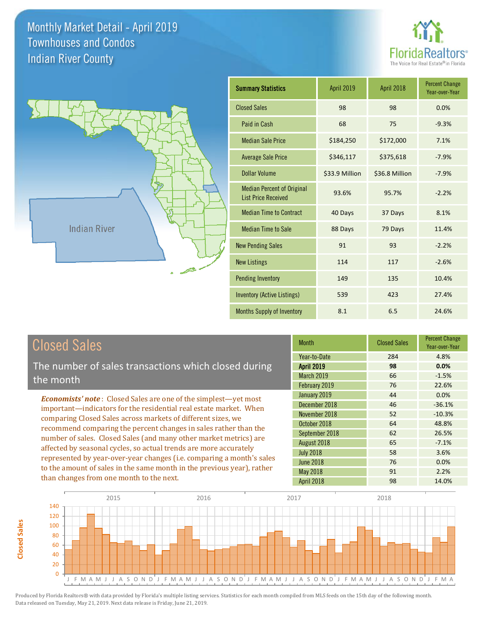



| <b>Summary Statistics</b>                                       | April 2019     | April 2018     | <b>Percent Change</b><br>Year-over-Year |
|-----------------------------------------------------------------|----------------|----------------|-----------------------------------------|
| <b>Closed Sales</b>                                             | 98             | 98             | 0.0%                                    |
| Paid in Cash                                                    | 68             | 75             | $-9.3%$                                 |
| <b>Median Sale Price</b>                                        | \$184,250      | \$172,000      | 7.1%                                    |
| <b>Average Sale Price</b>                                       | \$346,117      | \$375,618      | $-7.9%$                                 |
| Dollar Volume                                                   | \$33.9 Million | \$36.8 Million | $-7.9%$                                 |
| <b>Median Percent of Original</b><br><b>List Price Received</b> | 93.6%          | 95.7%          | $-2.2%$                                 |
| <b>Median Time to Contract</b>                                  | 40 Days        | 37 Days        | 8.1%                                    |
| <b>Median Time to Sale</b>                                      | 88 Days        | 79 Days        | 11.4%                                   |
| <b>New Pending Sales</b>                                        | 91             | 93             | $-2.2%$                                 |
| <b>New Listings</b>                                             | 114            | 117            | $-2.6%$                                 |
| <b>Pending Inventory</b>                                        | 149            | 135            | 10.4%                                   |
| Inventory (Active Listings)                                     | 539            | 423            | 27.4%                                   |
| <b>Months Supply of Inventory</b>                               | 8.1            | 6.5            | 24.6%                                   |

# Closed Sales

The number of sales transactions which closed during the month

*Economists' note* : Closed Sales are one of the simplest—yet most important—indicators for the residential real estate market. When comparing Closed Sales across markets of different sizes, we recommend comparing the percent changes in sales rather than the number of sales. Closed Sales (and many other market metrics) are affected by seasonal cycles, so actual trends are more accurately represented by year-over-year changes (i.e. comparing a month's sales to the amount of sales in the same month in the previous year), rather than changes from one month to the next.

| Month             | <b>Closed Sales</b> | <b>Percent Change</b><br>Year-over-Year |
|-------------------|---------------------|-----------------------------------------|
| Year-to-Date      | 284                 | 4.8%                                    |
| <b>April 2019</b> | 98                  | 0.0%                                    |
| <b>March 2019</b> | 66                  | $-1.5%$                                 |
| February 2019     | 76                  | 22.6%                                   |
| January 2019      | 44                  | 0.0%                                    |
| December 2018     | 46                  | $-36.1%$                                |
| November 2018     | 52                  | $-10.3%$                                |
| October 2018      | 64                  | 48.8%                                   |
| September 2018    | 62                  | 26.5%                                   |
| August 2018       | 65                  | $-7.1%$                                 |
| <b>July 2018</b>  | 58                  | 3.6%                                    |
| <b>June 2018</b>  | 76                  | 0.0%                                    |
| May 2018          | 91                  | 2.2%                                    |
| April 2018        | 98                  | 14.0%                                   |

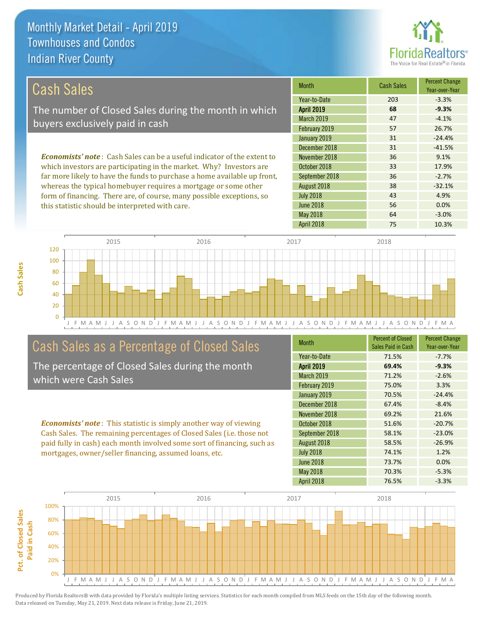this statistic should be interpreted with care.



56 0.0%

| Cash Sales                                                                     | <b>Month</b>      | <b>Cash Sales</b> | <b>Percent Change</b><br>Year-over-Year |
|--------------------------------------------------------------------------------|-------------------|-------------------|-----------------------------------------|
|                                                                                | Year-to-Date      | 203               | $-3.3%$                                 |
| The number of Closed Sales during the month in which                           | <b>April 2019</b> | 68                | $-9.3%$                                 |
| buyers exclusively paid in cash                                                | <b>March 2019</b> | 47                | $-4.1%$                                 |
|                                                                                | February 2019     | 57                | 26.7%                                   |
|                                                                                | January 2019      | 31                | $-24.4%$                                |
|                                                                                | December 2018     | 31                | $-41.5%$                                |
| <b>Economists' note:</b> Cash Sales can be a useful indicator of the extent to | November 2018     | 36                | 9.1%                                    |
| which investors are participating in the market. Why? Investors are            | October 2018      | 33                | 17.9%                                   |
| far more likely to have the funds to purchase a home available up front,       | September 2018    | 36                | $-2.7%$                                 |
| whereas the typical homebuyer requires a mortgage or some other                | August 2018       | 38                | $-32.1%$                                |
| form of financing. There are, of course, many possible exceptions, so          | <b>July 2018</b>  | 43                | 4.9%                                    |

J F M A M J J A S O N D J F M A M J J A S O N D J F M A M J J A S O N D J F M A M J J A S O N D J F M A 0 20 40 60 80 100 120 2015 2016 2017 2018

## Cash Sales as a Percentage of Closed Sales

The percentage of Closed Sales during the month which were Cash Sales

*Economists' note* : This statistic is simply another way of viewing Cash Sales. The remaining percentages of Closed Sales (i.e. those not paid fully in cash) each month involved some sort of financing, such as mortgages, owner/seller financing, assumed loans, etc.

| <b>Month</b>      | <b>Percent of Closed</b><br>Sales Paid in Cash | <b>Percent Change</b><br>Year-over-Year |
|-------------------|------------------------------------------------|-----------------------------------------|
| Year-to-Date      | 71.5%                                          | $-7.7%$                                 |
| <b>April 2019</b> | 69.4%                                          | $-9.3%$                                 |
| <b>March 2019</b> | 71.2%                                          | $-2.6%$                                 |
| February 2019     | 75.0%                                          | 3.3%                                    |
| January 2019      | 70.5%                                          | $-24.4%$                                |
| December 2018     | 67.4%                                          | $-8.4%$                                 |
| November 2018     | 69.2%                                          | 21.6%                                   |
| October 2018      | 51.6%                                          | $-20.7%$                                |
| September 2018    | 58.1%                                          | $-23.0%$                                |
| August 2018       | 58.5%                                          | $-26.9%$                                |
| <b>July 2018</b>  | 74.1%                                          | 1.2%                                    |
| <b>June 2018</b>  | 73.7%                                          | 0.0%                                    |
| May 2018          | 70.3%                                          | $-5.3%$                                 |
| <b>April 2018</b> | 76.5%                                          | $-3.3%$                                 |

April 2018 75 10.3%

May 2018 64 -3.0%

June 2018

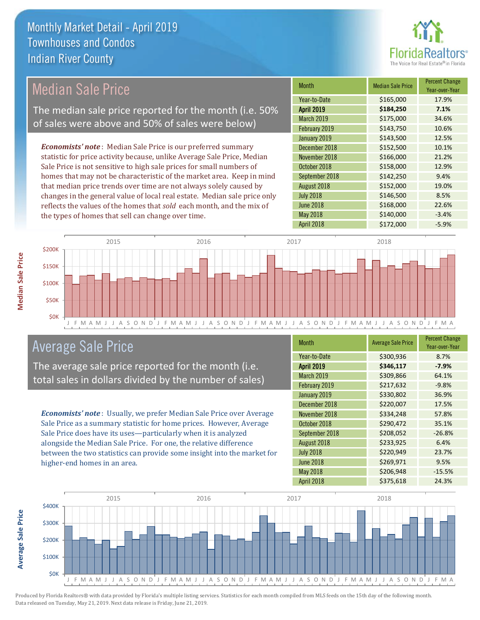

## Median Sale Price

The median sale price reported for the month (i.e. 50% of sales were above and 50% of sales were below)

*Economists' note* : Median Sale Price is our preferred summary statistic for price activity because, unlike Average Sale Price, Median Sale Price is not sensitive to high sale prices for small numbers of homes that may not be characteristic of the market area. Keep in mind that median price trends over time are not always solely caused by changes in the general value of local real estate. Median sale price only reflects the values of the homes that *sold* each month, and the mix of the types of homes that sell can change over time.

| <b>Month</b>      | <b>Median Sale Price</b> | <b>Percent Change</b><br>Year-over-Year |
|-------------------|--------------------------|-----------------------------------------|
| Year-to-Date      | \$165,000                | 17.9%                                   |
| <b>April 2019</b> | \$184,250                | 7.1%                                    |
| <b>March 2019</b> | \$175,000                | 34.6%                                   |
| February 2019     | \$143,750                | 10.6%                                   |
| January 2019      | \$143,500                | 12.5%                                   |
| December 2018     | \$152,500                | 10.1%                                   |
| November 2018     | \$166,000                | 21.2%                                   |
| October 2018      | \$158,000                | 12.9%                                   |
| September 2018    | \$142,250                | 9.4%                                    |
| August 2018       | \$152,000                | 19.0%                                   |
| <b>July 2018</b>  | \$146,500                | 8.5%                                    |
| <b>June 2018</b>  | \$168,000                | 22.6%                                   |
| May 2018          | \$140,000                | $-3.4%$                                 |
| April 2018        | \$172,000                | $-5.9%$                                 |



### Average Sale Price

The average sale price reported for the month (i.e. total sales in dollars divided by the number of sales)

*Economists' note* : Usually, we prefer Median Sale Price over Average Sale Price as a summary statistic for home prices. However, Average Sale Price does have its uses—particularly when it is analyzed alongside the Median Sale Price. For one, the relative difference between the two statistics can provide some insight into the market for higher-end homes in an area.

| <b>Month</b>      | <b>Average Sale Price</b> | <b>Percent Change</b><br>Year-over-Year |
|-------------------|---------------------------|-----------------------------------------|
| Year-to-Date      | \$300,936                 | 8.7%                                    |
| <b>April 2019</b> | \$346,117                 | $-7.9%$                                 |
| March 2019        | \$309,866                 | 64.1%                                   |
| February 2019     | \$217,632                 | $-9.8%$                                 |
| January 2019      | \$330,802                 | 36.9%                                   |
| December 2018     | \$220,007                 | 17.5%                                   |
| November 2018     | \$334,248                 | 57.8%                                   |
| October 2018      | \$290,472                 | 35.1%                                   |
| September 2018    | \$208,052                 | $-26.8%$                                |
| August 2018       | \$233,925                 | 6.4%                                    |
| <b>July 2018</b>  | \$220,949                 | 23.7%                                   |
| <b>June 2018</b>  | \$269,971                 | 9.5%                                    |
| <b>May 2018</b>   | \$206,948                 | $-15.5%$                                |
| April 2018        | \$375,618                 | 24.3%                                   |



Produced by Florida Realtors® with data provided by Florida's multiple listing services. Statistics for each month compiled from MLS feeds on the 15th day of the following month. Data released on Tuesday, May 21, 2019. Next data release is Friday, June 21, 2019.

**Average Sale Price**

Average Sale Price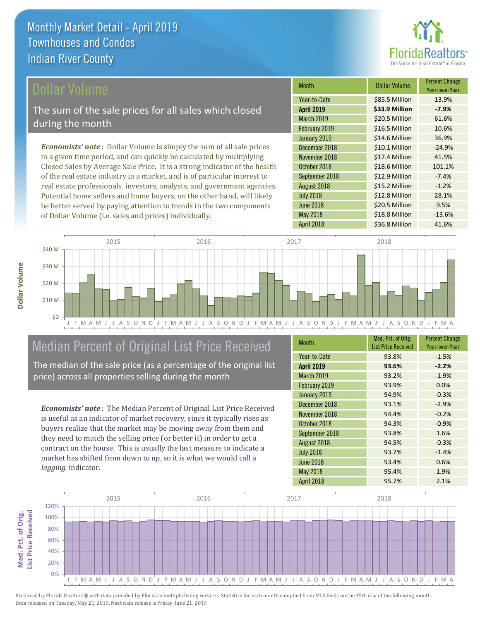

#### Dollar Volume

The sum of the sale prices for all sales which closed during the month

*Economists' note* : Dollar Volume is simply the sum of all sale prices in a given time period, and can quickly be calculated by multiplying Closed Sales by Average Sale Price. It is a strong indicator of the health of the real estate industry in a market, and is of particular interest to real estate professionals, investors, analysts, and government agencies. Potential home sellers and home buyers, on the other hand, will likely be better served by paying attention to trends in the two components of Dollar Volume (i.e. sales and prices) individually.

| Month             | Dollar Volume  | <b>Percent Change</b><br>Year-over-Year |
|-------------------|----------------|-----------------------------------------|
| Year-to-Date      | \$85.5 Million | 13.9%                                   |
| <b>April 2019</b> | \$33.9 Million | $-7.9%$                                 |
| March 2019        | \$20.5 Million | 61.6%                                   |
| February 2019     | \$16.5 Million | 10.6%                                   |
| January 2019      | \$14.6 Million | 36.9%                                   |
| December 2018     | \$10.1 Million | $-24.9%$                                |
| November 2018     | \$17.4 Million | 41.5%                                   |
| October 2018      | \$18.6 Million | 101.1%                                  |
| September 2018    | \$12.9 Million | $-7.4%$                                 |
| August 2018       | \$15.2 Million | $-1.2%$                                 |
| <b>July 2018</b>  | \$12.8 Million | 28.1%                                   |
| <b>June 2018</b>  | \$20.5 Million | 9.5%                                    |
| <b>May 2018</b>   | \$18.8 Million | $-13.6%$                                |
| April 2018        | \$36.8 Million | 41.6%                                   |



## Median Percent of Original List Price Received

The median of the sale price (as a percentage of the original list price) across all properties selling during the month

*Economists' note* : The Median Percent of Original List Price Received is useful as an indicator of market recovery, since it typically rises as buyers realize that the market may be moving away from them and they need to match the selling price (or better it) in order to get a contract on the house. This is usually the last measure to indicate a market has shifted from down to up, so it is what we would call a *lagging* indicator.

| <b>Month</b>      | Med. Pct. of Orig.<br><b>List Price Received</b> | <b>Percent Change</b><br>Year-over-Year |
|-------------------|--------------------------------------------------|-----------------------------------------|
| Year-to-Date      | 93.8%                                            | $-1.5%$                                 |
| <b>April 2019</b> | 93.6%                                            | $-2.2%$                                 |
| March 2019        | 93.2%                                            | $-1.9%$                                 |
| February 2019     | 93.9%                                            | 0.0%                                    |
| January 2019      | 94.9%                                            | $-0.3%$                                 |
| December 2018     | 93.1%                                            | $-2.9%$                                 |
| November 2018     | 94.4%                                            | $-0.2%$                                 |
| October 2018      | 94.3%                                            | $-0.9%$                                 |
| September 2018    | 93.8%                                            | 1.6%                                    |
| August 2018       | 94.5%                                            | $-0.3%$                                 |
| <b>July 2018</b>  | 93.7%                                            | $-1.4%$                                 |
| <b>June 2018</b>  | 93.4%                                            | 0.6%                                    |
| <b>May 2018</b>   | 95.4%                                            | 1.9%                                    |
| <b>April 2018</b> | 95.7%                                            | 2.1%                                    |

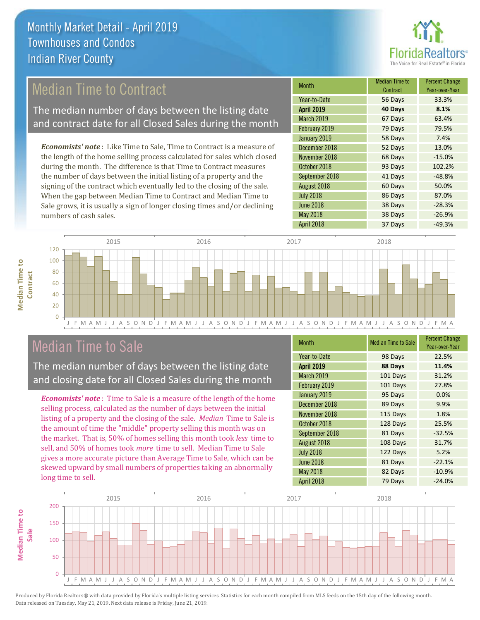

# Median Time to Contract

The median number of days between the listing date and contract date for all Closed Sales during the month

*Economists' note* : Like Time to Sale, Time to Contract is a measure of the length of the home selling process calculated for sales which closed during the month. The difference is that Time to Contract measures the number of days between the initial listing of a property and the signing of the contract which eventually led to the closing of the sale. When the gap between Median Time to Contract and Median Time to Sale grows, it is usually a sign of longer closing times and/or declining numbers of cash sales.

| <b>Month</b>      | Median Time to<br>Contract | <b>Percent Change</b><br>Year-over-Year |
|-------------------|----------------------------|-----------------------------------------|
| Year-to-Date      | 56 Days                    | 33.3%                                   |
| <b>April 2019</b> | 40 Days                    | 8.1%                                    |
| March 2019        | 67 Days                    | 63.4%                                   |
| February 2019     | 79 Days                    | 79.5%                                   |
| January 2019      | 58 Days                    | 7.4%                                    |
| December 2018     | 52 Days                    | 13.0%                                   |
| November 2018     | 68 Days                    | $-15.0%$                                |
| October 2018      | 93 Days                    | 102.2%                                  |
| September 2018    | 41 Days                    | $-48.8%$                                |
| August 2018       | 60 Days                    | 50.0%                                   |
| <b>July 2018</b>  | 86 Days                    | 87.0%                                   |
| <b>June 2018</b>  | 38 Days                    | $-28.3%$                                |
| May 2018          | 38 Days                    | $-26.9%$                                |
| April 2018        | 37 Days                    | $-49.3%$                                |



### Median Time to Sale

**Median Time to** 

**Median Time to** 

The median number of days between the listing date and closing date for all Closed Sales during the month

*Economists' note* : Time to Sale is a measure of the length of the home selling process, calculated as the number of days between the initial listing of a property and the closing of the sale. *Median* Time to Sale is the amount of time the "middle" property selling this month was on the market. That is, 50% of homes selling this month took *less* time to sell, and 50% of homes took *more* time to sell. Median Time to Sale gives a more accurate picture than Average Time to Sale, which can be skewed upward by small numbers of properties taking an abnormally long time to sell.

| <b>Month</b>      | <b>Median Time to Sale</b> | <b>Percent Change</b><br>Year-over-Year |
|-------------------|----------------------------|-----------------------------------------|
| Year-to-Date      | 98 Days                    | 22.5%                                   |
| <b>April 2019</b> | 88 Days                    | 11.4%                                   |
| March 2019        | 101 Days                   | 31.2%                                   |
| February 2019     | 101 Days                   | 27.8%                                   |
| January 2019      | 95 Days                    | 0.0%                                    |
| December 2018     | 89 Days                    | 9.9%                                    |
| November 2018     | 115 Days                   | 1.8%                                    |
| October 2018      | 128 Days                   | 25.5%                                   |
| September 2018    | 81 Days                    | $-32.5%$                                |
| August 2018       | 108 Days                   | 31.7%                                   |
| <b>July 2018</b>  | 122 Days                   | 5.2%                                    |
| <b>June 2018</b>  | 81 Days                    | $-22.1%$                                |
| May 2018          | 82 Days                    | $-10.9%$                                |
| April 2018        | 79 Days                    | $-24.0%$                                |

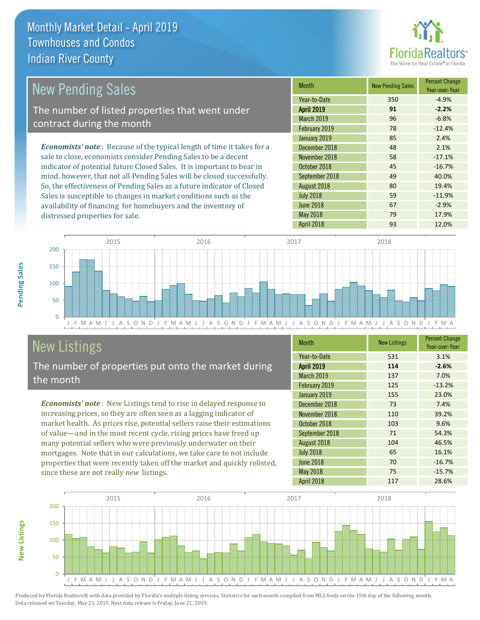distressed properties for sale.



| New Pending Sales                                                              | <b>Month</b>      | <b>New Pending Sales</b> | <b>Percent Change</b><br>Year-over-Year |
|--------------------------------------------------------------------------------|-------------------|--------------------------|-----------------------------------------|
|                                                                                | Year-to-Date      | 350                      | $-4.9%$                                 |
| The number of listed properties that went under                                | <b>April 2019</b> | 91                       | $-2.2%$                                 |
| contract during the month                                                      | <b>March 2019</b> | 96                       | $-6.8%$                                 |
|                                                                                | February 2019     | 78                       | $-12.4%$                                |
|                                                                                | January 2019      | 85                       | 2.4%                                    |
| <b>Economists' note</b> : Because of the typical length of time it takes for a | December 2018     | 48                       | 2.1%                                    |
| sale to close, economists consider Pending Sales to be a decent                | November 2018     | 58                       | $-17.1%$                                |
| indicator of potential future Closed Sales. It is important to bear in         | October 2018      | 45                       | $-16.7%$                                |
| mind, however, that not all Pending Sales will be closed successfully.         | September 2018    | 49                       | 40.0%                                   |
| So, the effectiveness of Pending Sales as a future indicator of Closed         | August 2018       | 80                       | 19.4%                                   |
| Sales is susceptible to changes in market conditions such as the               | <b>July 2018</b>  | 59                       | $-11.9%$                                |



# New Listings

The number of properties put onto the market during the month

availability of financing for homebuyers and the inventory of

*Economists' note* : New Listings tend to rise in delayed response to increasing prices, so they are often seen as a lagging indicator of market health. As prices rise, potential sellers raise their estimations of value—and in the most recent cycle, rising prices have freed up many potential sellers who were previously underwater on their mortgages. Note that in our calculations, we take care to not include properties that were recently taken off the market and quickly relisted, since these are not really *new* listings.

| <b>Month</b>      | <b>New Listings</b> | <b>Percent Change</b><br>Year-over-Year |
|-------------------|---------------------|-----------------------------------------|
| Year-to-Date      | 531                 | 3.1%                                    |
| <b>April 2019</b> | 114                 | $-2.6%$                                 |
| <b>March 2019</b> | 137                 | 7.0%                                    |
| February 2019     | 125                 | $-13.2%$                                |
| January 2019      | 155                 | 23.0%                                   |
| December 2018     | 73                  | 7.4%                                    |
| November 2018     | 110                 | 39.2%                                   |
| October 2018      | 103                 | 9.6%                                    |
| September 2018    | 71                  | 54.3%                                   |
| August 2018       | 104                 | 46.5%                                   |
| <b>July 2018</b>  | 65                  | 16.1%                                   |
| <b>June 2018</b>  | 70                  | $-16.7%$                                |
| <b>May 2018</b>   | 75                  | $-15.7%$                                |
| April 2018        | 117                 | 28.6%                                   |

June 2018 **67** -2.9% May 2018 79 79 17.9%



Produced by Florida Realtors® with data provided by Florida's multiple listing services. Statistics for each month compiled from MLS feeds on the 15th day of the following month. Data released on Tuesday, May 21, 2019. Next data release is Friday, June 21, 2019.

**New Listings**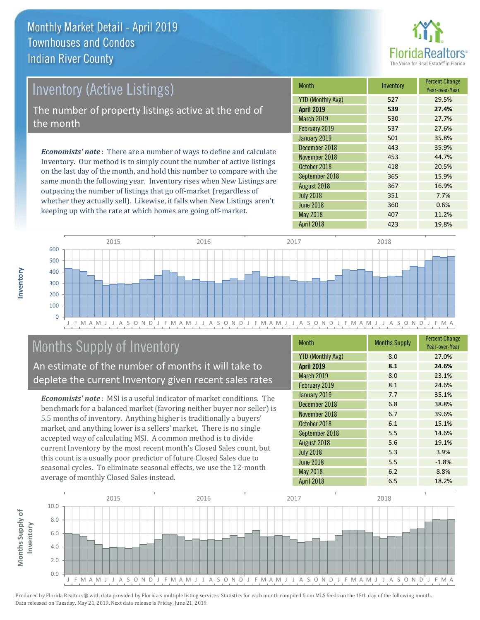

# *Economists' note* : There are a number of ways to define and calculate Inventory (Active Listings) The number of property listings active at the end of the month

Inventory. Our method is to simply count the number of active listings on the last day of the month, and hold this number to compare with the same month the following year. Inventory rises when New Listings are outpacing the number of listings that go off-market (regardless of whether they actually sell). Likewise, it falls when New Listings aren't keeping up with the rate at which homes are going off-market.

| <b>Month</b>             | Inventory | <b>Percent Change</b><br>Year-over-Year |
|--------------------------|-----------|-----------------------------------------|
| <b>YTD (Monthly Avg)</b> | 527       | 29.5%                                   |
| <b>April 2019</b>        | 539       | 27.4%                                   |
| March 2019               | 530       | 27.7%                                   |
| February 2019            | 537       | 27.6%                                   |
| January 2019             | 501       | 35.8%                                   |
| December 2018            | 443       | 35.9%                                   |
| November 2018            | 453       | 44.7%                                   |
| October 2018             | 418       | 20.5%                                   |
| September 2018           | 365       | 15.9%                                   |
| August 2018              | 367       | 16.9%                                   |
| <b>July 2018</b>         | 351       | 7.7%                                    |
| <b>June 2018</b>         | 360       | 0.6%                                    |
| May 2018                 | 407       | 11.2%                                   |
| April 2018               | 423       | 19.8%                                   |



# Months Supply of Inventory

An estimate of the number of months it will take to deplete the current Inventory given recent sales rates

*Economists' note* : MSI is a useful indicator of market conditions. The benchmark for a balanced market (favoring neither buyer nor seller) is 5.5 months of inventory. Anything higher is traditionally a buyers' market, and anything lower is a sellers' market. There is no single accepted way of calculating MSI. A common method is to divide current Inventory by the most recent month's Closed Sales count, but this count is a usually poor predictor of future Closed Sales due to seasonal cycles. To eliminate seasonal effects, we use the 12-month average of monthly Closed Sales instead.

| <b>Month</b>             | <b>Months Supply</b> | <b>Percent Change</b><br>Year-over-Year |
|--------------------------|----------------------|-----------------------------------------|
| <b>YTD (Monthly Avg)</b> | 8.0                  | 27.0%                                   |
| <b>April 2019</b>        | 8.1                  | 24.6%                                   |
| March 2019               | 8.0                  | 23.1%                                   |
| February 2019            | 8.1                  | 24.6%                                   |
| January 2019             | 7.7                  | 35.1%                                   |
| December 2018            | 6.8                  | 38.8%                                   |
| November 2018            | 6.7                  | 39.6%                                   |
| October 2018             | 6.1                  | 15.1%                                   |
| September 2018           | 5.5                  | 14.6%                                   |
| August 2018              | 5.6                  | 19.1%                                   |
| <b>July 2018</b>         | 5.3                  | 3.9%                                    |
| <b>June 2018</b>         | 5.5                  | $-1.8%$                                 |
| May 2018                 | 6.2                  | 8.8%                                    |
| <b>April 2018</b>        | 6.5                  | 18.2%                                   |

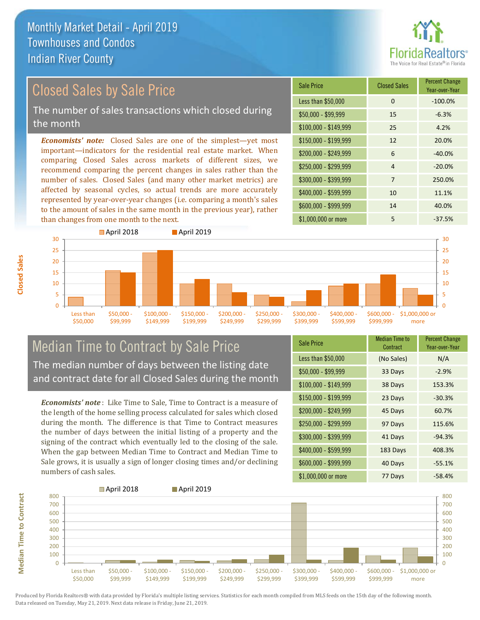

# Closed Sales by Sale Price

The number of sales transactions which closed during the month

*Economists' note:* Closed Sales are one of the simplest—yet most important—indicators for the residential real estate market. When comparing Closed Sales across markets of different sizes, we recommend comparing the percent changes in sales rather than the number of sales. Closed Sales (and many other market metrics) are affected by seasonal cycles, so actual trends are more accurately represented by year-over-year changes (i.e. comparing a month's sales to the amount of sales in the same month in the previous year), rather than changes from one month to the next.

| <b>Sale Price</b>     | <b>Closed Sales</b> | <b>Percent Change</b><br>Year-over-Year |
|-----------------------|---------------------|-----------------------------------------|
| Less than \$50,000    | 0                   | $-100.0%$                               |
| \$50,000 - \$99,999   | 15                  | $-6.3%$                                 |
| $$100,000 - $149,999$ | 25                  | 4.2%                                    |
| $$150,000 - $199,999$ | 12                  | 20.0%                                   |
| \$200,000 - \$249,999 | 6                   | $-40.0%$                                |
| \$250,000 - \$299,999 | $\overline{4}$      | $-20.0%$                                |
| \$300,000 - \$399,999 | 7                   | 250.0%                                  |
| \$400,000 - \$599,999 | 10                  | 11.1%                                   |
| \$600,000 - \$999,999 | 14                  | 40.0%                                   |
| \$1,000,000 or more   | 5                   | $-37.5%$                                |



#### Median Time to Contract by Sale Price The median number of days between the listing date and contract date for all Closed Sales during the month

*Economists' note* : Like Time to Sale, Time to Contract is a measure of the length of the home selling process calculated for sales which closed during the month. The difference is that Time to Contract measures the number of days between the initial listing of a property and the signing of the contract which eventually led to the closing of the sale. When the gap between Median Time to Contract and Median Time to Sale grows, it is usually a sign of longer closing times and/or declining numbers of cash sales.

| <b>Sale Price</b>     | Median Time to<br>Contract | <b>Percent Change</b><br>Year-over-Year |
|-----------------------|----------------------------|-----------------------------------------|
| Less than \$50,000    | (No Sales)                 | N/A                                     |
| $$50,000 - $99,999$   | 33 Days                    | $-2.9%$                                 |
| $$100,000 - $149,999$ | 38 Days                    | 153.3%                                  |
| $$150,000 - $199,999$ | 23 Days                    | $-30.3%$                                |
| \$200,000 - \$249,999 | 45 Days                    | 60.7%                                   |
| \$250,000 - \$299,999 | 97 Days                    | 115.6%                                  |
| \$300,000 - \$399,999 | 41 Days                    | $-94.3%$                                |
| $$400,000 - $599,999$ | 183 Days                   | 408.3%                                  |
| \$600,000 - \$999,999 | 40 Days                    | $-55.1%$                                |
| \$1,000,000 or more   | 77 Days                    | $-58.4%$                                |



**Median Time to Contract**

**Median Time to Contract** 

**Closed Sales**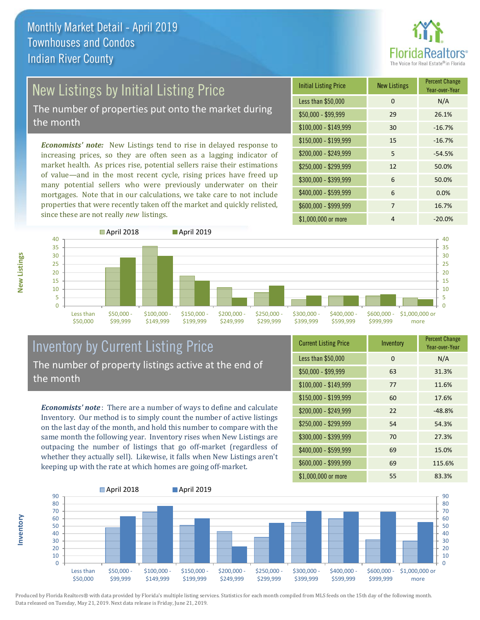

# New Listings by Initial Listing Price

The number of properties put onto the market during the month

*Economists' note:* New Listings tend to rise in delayed response to increasing prices, so they are often seen as a lagging indicator of market health. As prices rise, potential sellers raise their estimations of value—and in the most recent cycle, rising prices have freed up many potential sellers who were previously underwater on their mortgages. Note that in our calculations, we take care to not include properties that were recently taken off the market and quickly relisted, since these are not really *new* listings.

| <b>Initial Listing Price</b> | <b>New Listings</b> | <b>Percent Change</b><br>Year-over-Year |
|------------------------------|---------------------|-----------------------------------------|
| Less than \$50,000           | 0                   | N/A                                     |
| $$50,000 - $99,999$          | 29                  | 26.1%                                   |
| $$100,000 - $149,999$        | 30                  | $-16.7%$                                |
| \$150,000 - \$199,999        | 15                  | $-16.7%$                                |
| \$200,000 - \$249,999        | 5                   | $-54.5%$                                |
| \$250,000 - \$299,999        | 12                  | 50.0%                                   |
| \$300,000 - \$399,999        | 6                   | 50.0%                                   |
| \$400,000 - \$599,999        | 6                   | 0.0%                                    |
| \$600,000 - \$999,999        | 7                   | 16.7%                                   |
| \$1,000,000 or more          | 4                   | $-20.0%$                                |



### Inventory by Current Listing Price The number of property listings active at the end of the month

*Economists' note* : There are a number of ways to define and calculate Inventory. Our method is to simply count the number of active listings on the last day of the month, and hold this number to compare with the same month the following year. Inventory rises when New Listings are outpacing the number of listings that go off-market (regardless of whether they actually sell). Likewise, it falls when New Listings aren't keeping up with the rate at which homes are going off-market.

| <b>Current Listing Price</b> | Inventory | <b>Percent Change</b><br>Year-over-Year |
|------------------------------|-----------|-----------------------------------------|
| Less than \$50,000           | $\Omega$  | N/A                                     |
| $$50,000 - $99,999$          | 63        | 31.3%                                   |
| $$100,000 - $149,999$        | 77        | 11.6%                                   |
| $$150,000 - $199,999$        | 60        | 17.6%                                   |
| \$200,000 - \$249,999        | 22        | $-48.8%$                                |
| \$250,000 - \$299,999        | 54        | 54.3%                                   |
| \$300,000 - \$399,999        | 70        | 27.3%                                   |
| \$400,000 - \$599,999        | 69        | 15.0%                                   |
| \$600,000 - \$999,999        | 69        | 115.6%                                  |
| \$1,000,000 or more          | 55        | 83.3%                                   |



Produced by Florida Realtors® with data provided by Florida's multiple listing services. Statistics for each month compiled from MLS feeds on the 15th day of the following month. Data released on Tuesday, May 21, 2019. Next data release is Friday, June 21, 2019.

**Inventory**